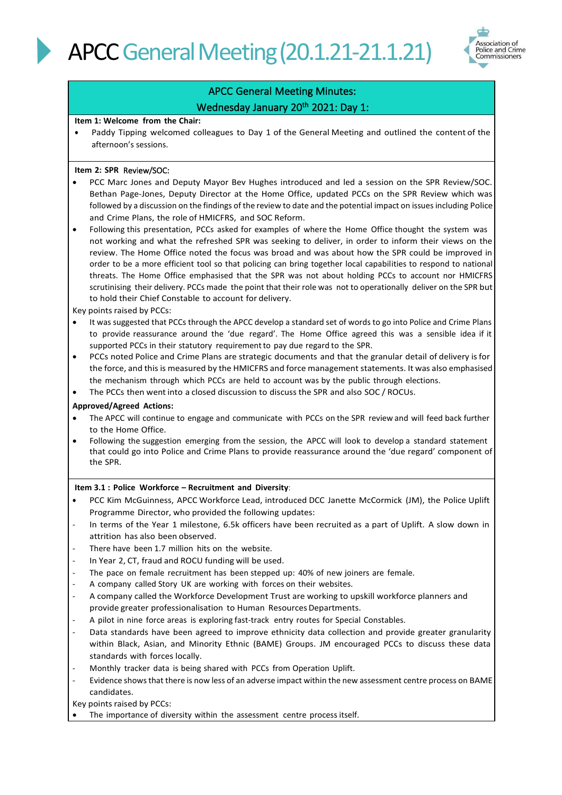

# APCC General Meeting Minutes: Wednesday January 20<sup>th</sup> 2021: Day 1:

#### **Item 1: Welcome from the Chair:**

• Paddy Tipping welcomed colleagues to Day 1 of the General Meeting and outlined the content of the afternoon's sessions.

### **Item 2: SPR** Review/SOC:

- PCC Marc Jones and Deputy Mayor Bev Hughes introduced and led a session on the SPR Review/SOC. Bethan Page-Jones, Deputy Director at the Home Office, updated PCCs on the SPR Review which was followed by a discussion on the findings of the review to date and the potential impact on issues including Police and Crime Plans, the role of HMICFRS, and SOC Reform.
- Following this presentation, PCCs asked for examples of where the Home Office thought the system was not working and what the refreshed SPR was seeking to deliver, in order to inform their views on the review. The Home Office noted the focus was broad and was about how the SPR could be improved in order to be a more efficient tool so that policing can bring together local capabilities to respond to national threats. The Home Office emphasised that the SPR was not about holding PCCs to account nor HMICFRS scrutinising their delivery. PCCs made the point that their role was not to operationally deliver on the SPR but to hold their Chief Constable to account for delivery.

Key points raised by PCCs:

- It was suggested that PCCs through the APCC develop a standard set of words to go into Police and Crime Plans to provide reassurance around the 'due regard'. The Home Office agreed this was a sensible idea if it supported PCCs in their statutory requirementto pay due regard to the SPR.
- PCCs noted Police and Crime Plans are strategic documents and that the granular detail of delivery isfor the force, and this is measured by the HMICFRS and force management statements. It was also emphasised the mechanism through which PCCs are held to account was by the public through elections.
- The PCCs then went into a closed discussion to discuss the SPR and also SOC / ROCUs.

# **Approved/Agreed Actions:**

- The APCC will continue to engage and communicate with PCCs on the SPR review and will feed back further to the Home Office.
- Following the suggestion emerging from the session, the APCC will look to develop a standard statement that could go into Police and Crime Plans to provide reassurance around the 'due regard' component of the SPR.

#### **Item 3.1 : Police Workforce – Recruitment and Diversity**:

- PCC Kim McGuinness, APCC Workforce Lead, introduced DCC Janette McCormick (JM), the Police Uplift Programme Director, who provided the following updates:
- In terms of the Year 1 milestone, 6.5k officers have been recruited as a part of Uplift. A slow down in attrition has also been observed.
- There have been 1.7 million hits on the website.
- In Year 2, CT, fraud and ROCU funding will be used.
- The pace on female recruitment has been stepped up: 40% of new joiners are female.
- A company called Story UK are working with forces on their websites.
- A company called the Workforce Development Trust are working to upskill workforce planners and provide greater professionalisation to Human Resources Departments.
- A pilot in nine force areas is exploring fast-track entry routes for Special Constables.
- Data standards have been agreed to improve ethnicity data collection and provide greater granularity within Black, Asian, and Minority Ethnic (BAME) Groups. JM encouraged PCCs to discuss these data standards with forces locally.
- Monthly tracker data is being shared with PCCs from Operation Uplift.
- Evidence shows that there is now less of an adverse impact within the new assessment centre process on BAME candidates.

Key points raised by PCCs:

The importance of diversity within the assessment centre process itself.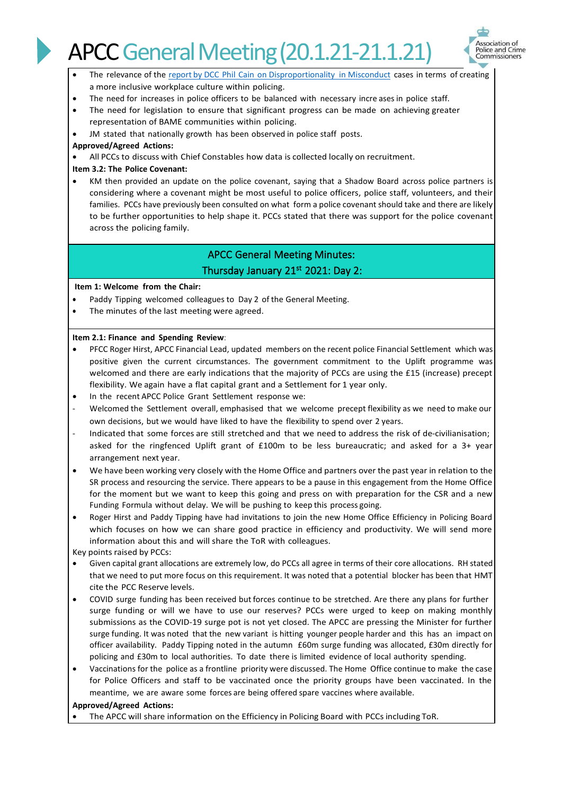# **APCC General Meeting (20.1.21-21.1.21)**



- The relevance of the report by DCC Phil Cain on [Disproportionality](https://www.npcc.police.uk/documents/NPCC%20Understanding%20Disproportionality%20in%20Police%20Complaint%20Misconduct%20Cases%20for%20BAME%20Police%20Officers%20and%20Staff%202019.pdf) in Misconduct cases in terms of creating a more inclusive workplace culture within policing.
- The need for increases in police officers to be balanced with necessary increases in police staff.
- The need for legislation to ensure that significant progress can be made on achieving greater representation of BAME communities within policing.
- JM stated that nationally growth has been observed in police staff posts.
- **Approved/Agreed Actions:**
- All PCCs to discuss with Chief Constables how data is collected locally on recruitment.

## **Item 3.2: The Police Covenant:**

• KM then provided an update on the police covenant, saying that a Shadow Board across police partners is considering where a covenant might be most useful to police officers, police staff, volunteers, and their families. PCCs have previously been consulted on what form a police covenant should take and there are likely to be further opportunities to help shape it. PCCs stated that there was support for the police covenant across the policing family.

# APCC General Meeting Minutes: Thursday January 21st 2021: Day 2:

#### **Item 1: Welcome from the Chair:**

- Paddy Tipping welcomed colleagues to Day 2 of the General Meeting.
- The minutes of the last meeting were agreed.

#### **Item 2.1: Finance and Spending Review**:

- PFCC Roger Hirst, APCC Financial Lead, updated members on the recent police Financial Settlement which was positive given the current circumstances. The government commitment to the Uplift programme was welcomed and there are early indications that the majority of PCCs are using the £15 (increase) precept flexibility. We again have a flat capital grant and a Settlement for 1 year only.
- In the recent APCC Police Grant Settlement response we:
- Welcomed the Settlement overall, emphasised that we welcome precept flexibility as we need to make our own decisions, but we would have liked to have the flexibility to spend over 2 years.
- Indicated that some forces are still stretched and that we need to address the risk of de-civilianisation; asked for the ringfenced Uplift grant of £100m to be less bureaucratic; and asked for a 3+ year arrangement next year.
- We have been working very closely with the Home Office and partners over the past year in relation to the SR process and resourcing the service. There appears to be a pause in this engagement from the Home Office for the moment but we want to keep this going and press on with preparation for the CSR and a new Funding Formula without delay. We will be pushing to keep this process going.
- Roger Hirst and Paddy Tipping have had invitations to join the new Home Office Efficiency in Policing Board which focuses on how we can share good practice in efficiency and productivity. We will send more information about this and will share the ToR with colleagues.

Key points raised by PCCs:

- Given capital grant allocations are extremely low, do PCCs all agree in terms of their core allocations. RH stated that we need to put more focus on this requirement. It was noted that a potential blocker has been that HMT cite the PCC Reserve levels.
- COVID surge funding has been received but forces continue to be stretched. Are there any plans for further surge funding or will we have to use our reserves? PCCs were urged to keep on making monthly submissions as the COVID-19 surge pot is not yet closed. The APCC are pressing the Minister for further surge funding. It was noted that the new variant is hitting younger people harder and this has an impact on officer availability. Paddy Tipping noted in the autumn £60m surge funding was allocated, £30m directly for policing and £30m to local authorities. To date there is limited evidence of local authority spending.
- Vaccinations for the police as a frontline priority were discussed. The Home Office continue to make the case for Police Officers and staff to be vaccinated once the priority groups have been vaccinated. In the meantime, we are aware some forces are being offered spare vaccines where available.

#### **Approved/Agreed Actions:**

• The APCC will share information on the Efficiency in Policing Board with PCCs including ToR.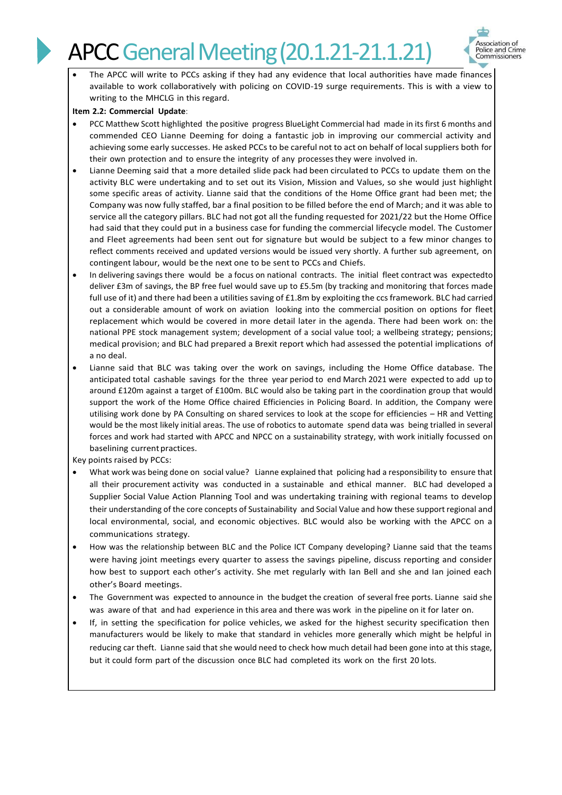# **APCC General Meeting (20.1.21-21.1.21)**



The APCC will write to PCCs asking if they had any evidence that local authorities have made finances available to work collaboratively with policing on COVID-19 surge requirements. This is with a view to writing to the MHCLG in this regard.

### **Item 2.2: Commercial Update**:

- PCC Matthew Scott highlighted the positive progress BlueLight Commercial had made in its first 6 months and commended CEO Lianne Deeming for doing a fantastic job in improving our commercial activity and achieving some early successes. He asked PCCs to be careful not to act on behalf of local suppliers both for their own protection and to ensure the integrity of any processesthey were involved in.
- Lianne Deeming said that a more detailed slide pack had been circulated to PCCs to update them on the activity BLC were undertaking and to set out its Vision, Mission and Values, so she would just highlight some specific areas of activity. Lianne said that the conditions of the Home Office grant had been met; the Company was now fully staffed, bar a final position to be filled before the end of March; and it was able to service all the category pillars. BLC had not got all the funding requested for 2021/22 but the Home Office had said that they could put in a business case for funding the commercial lifecycle model. The Customer and Fleet agreements had been sent out for signature but would be subject to a few minor changes to reflect comments received and updated versions would be issued very shortly. A further sub agreement, on contingent labour, would be the next one to be sent to PCCs and Chiefs.
- In delivering savings there would be a focus on national contracts. The initial fleet contract was expectedto deliver £3m of savings, the BP free fuel would save up to £5.5m (by tracking and monitoring that forces made full use of it) and there had been a utilities saving of £1.8m by exploiting the ccs framework. BLC had carried out a considerable amount of work on aviation looking into the commercial position on options for fleet replacement which would be covered in more detail later in the agenda. There had been work on: the national PPE stock management system; development of a social value tool; a wellbeing strategy; pensions; medical provision; and BLC had prepared a Brexit report which had assessed the potential implications of a no deal.
- Lianne said that BLC was taking over the work on savings, including the Home Office database. The anticipated total cashable savings for the three year period to end March 2021 were expected to add up to around £120m against a target of £100m. BLC would also be taking part in the coordination group that would support the work of the Home Office chaired Efficiencies in Policing Board. In addition, the Company were utilising work done by PA Consulting on shared services to look at the scope for efficiencies – HR and Vetting would be the most likely initial areas. The use of robotics to automate spend data was being trialled in several forces and work had started with APCC and NPCC on a sustainability strategy, with work initially focussed on baselining current practices.

Key points raised by PCCs:

- What work was being done on social value? Lianne explained that policing had a responsibility to ensure that all their procurement activity was conducted in a sustainable and ethical manner. BLC had developed a Supplier Social Value Action Planning Tool and was undertaking training with regional teams to develop their understanding of the core concepts of Sustainability and Social Value and how these support regional and local environmental, social, and economic objectives. BLC would also be working with the APCC on a communications strategy.
- How was the relationship between BLC and the Police ICT Company developing? Lianne said that the teams were having joint meetings every quarter to assess the savings pipeline, discuss reporting and consider how best to support each other's activity. She met regularly with Ian Bell and she and Ian joined each other's Board meetings.
- The Government was expected to announce in the budget the creation of several free ports. Lianne said she was aware of that and had experience in this area and there was work in the pipeline on it for later on.
- If, in setting the specification for police vehicles, we asked for the highest security specification then manufacturers would be likely to make that standard in vehicles more generally which might be helpful in reducing car theft. Lianne said that she would need to check how much detail had been gone into at this stage, but it could form part of the discussion once BLC had completed its work on the first 20 lots.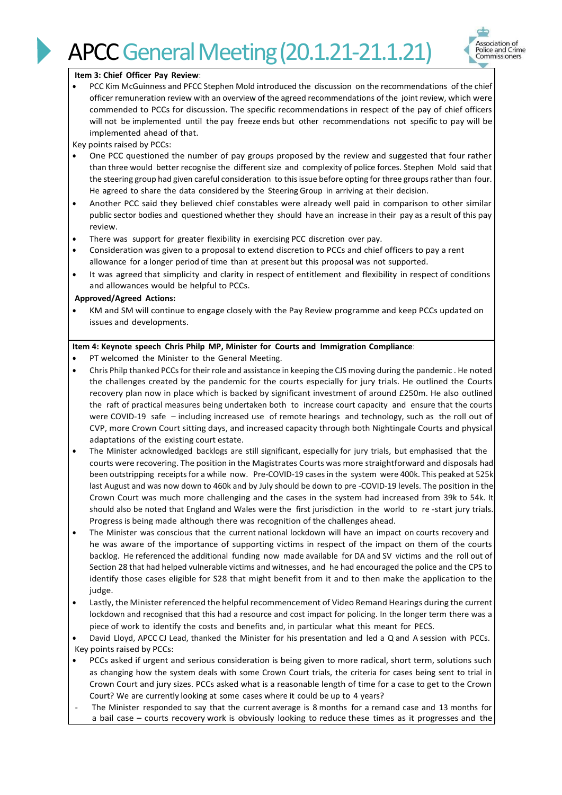



#### **Item 3: Chief Officer Pay Review**:

• PCC Kim McGuinness and PFCC Stephen Mold introduced the discussion on the recommendations of the chief officer remuneration review with an overview of the agreed recommendations of the joint review, which were commended to PCCs for discussion. The specific recommendations in respect of the pay of chief officers will not be implemented until the pay freeze ends but other recommendations not specific to pay will be implemented ahead of that.

Key points raised by PCCs:

- One PCC questioned the number of pay groups proposed by the review and suggested that four rather than three would better recognise the different size and complexity of police forces. Stephen Mold said that the steering group had given careful consideration to this issue before opting for three groups rather than four. He agreed to share the data considered by the Steering Group in arriving at their decision.
- Another PCC said they believed chief constables were already well paid in comparison to other similar public sector bodies and questioned whether they should have an increase in their pay as a result of this pay review.
- There was support for greater flexibility in exercising PCC discretion over pay.
- Consideration was given to a proposal to extend discretion to PCCs and chief officers to pay a rent allowance for a longer period of time than at present but this proposal was not supported.
- It was agreed that simplicity and clarity in respect of entitlement and flexibility in respect of conditions and allowances would be helpful to PCCs.

#### **Approved/Agreed Actions:**

• KM and SM will continue to engage closely with the Pay Review programme and keep PCCs updated on issues and developments.

## **Item 4: Keynote speech Chris Philp MP, Minister for Courts and Immigration Compliance**:

- PT welcomed the Minister to the General Meeting.
- Chris Philp thanked PCCs for their role and assistance in keeping the CJS moving during the pandemic . He noted the challenges created by the pandemic for the courts especially for jury trials. He outlined the Courts recovery plan now in place which is backed by significant investment of around £250m. He also outlined the raft of practical measures being undertaken both to increase court capacity and ensure that the courts were COVID-19 safe – including increased use of remote hearings and technology, such as the roll out of CVP, more Crown Court sitting days, and increased capacity through both Nightingale Courts and physical adaptations of the existing court estate.
- The Minister acknowledged backlogs are still significant, especially for jury trials, but emphasised that the courts were recovering. The position in the Magistrates Courts was more straightforward and disposals had been outstripping receipts for a while now. Pre-COVID-19 cases in the system were 400k. This peaked at 525k last August and was now down to 460k and by July should be down to pre -COVID-19 levels. The position in the Crown Court was much more challenging and the cases in the system had increased from 39k to 54k. It should also be noted that England and Wales were the first jurisdiction in the world to re -start jury trials. Progress is being made although there was recognition of the challenges ahead.
- The Minister was conscious that the current national lockdown will have an impact on courts recovery and he was aware of the importance of supporting victims in respect of the impact on them of the courts backlog. He referenced the additional funding now made available for DA and SV victims and the roll out of Section 28 that had helped vulnerable victims and witnesses, and he had encouraged the police and the CPS to identify those cases eligible for S28 that might benefit from it and to then make the application to the judge.
- Lastly, the Minister referenced the helpful recommencement of Video Remand Hearings during the current lockdown and recognised that this had a resource and cost impact for policing. In the longer term there was a piece of work to identify the costs and benefits and, in particular what this meant for PECS.
- David Lloyd, APCC CJ Lead, thanked the Minister for his presentation and led a Q and A session with PCCs. Key points raised by PCCs:
- PCCs asked if urgent and serious consideration is being given to more radical, short term, solutions such as changing how the system deals with some Crown Court trials, the criteria for cases being sent to trial in Crown Court and jury sizes. PCCs asked what is a reasonable length of time for a case to get to the Crown Court? We are currently looking at some cases where it could be up to 4 years?
- The Minister responded to say that the current average is 8 months for a remand case and 13 months for a bail case – courts recovery work is obviously looking to reduce these times as it progresses and the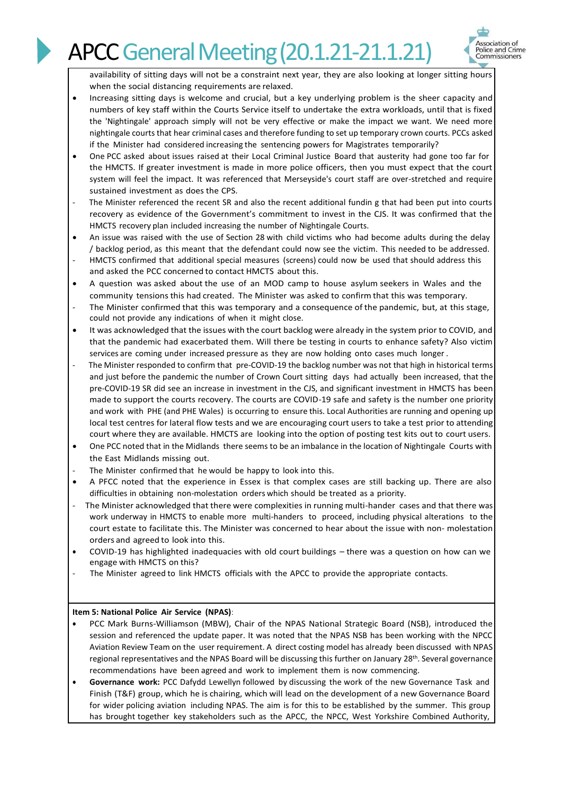

availability of sitting days will not be a constraint next year, they are also looking at longer sitting hours when the social distancing requirements are relaxed.

- Increasing sitting days is welcome and crucial, but a key underlying problem is the sheer capacity and numbers of key staff within the Courts Service itself to undertake the extra workloads, until that is fixed the 'Nightingale' approach simply will not be very effective or make the impact we want. We need more nightingale courts that hear criminal cases and therefore funding to set up temporary crown courts. PCCs asked if the Minister had considered increasing the sentencing powers for Magistrates temporarily?
- One PCC asked about issues raised at their Local Criminal Justice Board that austerity had gone too far for the HMCTS. If greater investment is made in more police officers, then you must expect that the court system will feel the impact. It was referenced that Merseyside's court staff are over-stretched and require sustained investment as does the CPS.
- The Minister referenced the recent SR and also the recent additional fundin g that had been put into courts recovery as evidence of the Government's commitment to invest in the CJS. It was confirmed that the HMCTS recovery plan included increasing the number of Nightingale Courts.
- An issue was raised with the use of Section 28 with child victims who had become adults during the delay / backlog period, as this meant that the defendant could now see the victim. This needed to be addressed.
- HMCTS confirmed that additional special measures (screens) could now be used that should address this and asked the PCC concerned to contact HMCTS about this.
- A question was asked about the use of an MOD camp to house asylum seekers in Wales and the community tensions this had created. The Minister was asked to confirm that this was temporary.
- The Minister confirmed that this was temporary and a consequence of the pandemic, but, at this stage, could not provide any indications of when it might close.
- It was acknowledged that the issues with the court backlog were already in the system prior to COVID, and that the pandemic had exacerbated them. Will there be testing in courts to enhance safety? Also victim services are coming under increased pressure as they are now holding onto cases much longer .
- The Minister responded to confirm that pre-COVID-19 the backlog number was not that high in historical terms and just before the pandemic the number of Crown Court sitting days had actually been increased, that the pre-COVID-19 SR did see an increase in investment in the CJS, and significant investment in HMCTS has been made to support the courts recovery. The courts are COVID-19 safe and safety is the number one priority and work with PHE (and PHE Wales) is occurring to ensure this. Local Authorities are running and opening up local test centres for lateral flow tests and we are encouraging court users to take a test prior to attending court where they are available. HMCTS are looking into the option of posting test kits out to court users.
- One PCC noted that in the Midlands there seems to be an imbalance in the location of Nightingale Courts with the East Midlands missing out.
- The Minister confirmed that he would be happy to look into this.
- A PFCC noted that the experience in Essex is that complex cases are still backing up. There are also difficulties in obtaining non-molestation orders which should be treated as a priority.
- The Minister acknowledged that there were complexities in running multi-hander cases and that there was work underway in HMCTS to enable more multi-handers to proceed, including physical alterations to the court estate to facilitate this. The Minister was concerned to hear about the issue with non- molestation orders and agreed to look into this.
- COVID-19 has highlighted inadequacies with old court buildings there was a question on how can we engage with HMCTS on this?
- The Minister agreed to link HMCTS officials with the APCC to provide the appropriate contacts.

# **Item 5: National Police Air Service (NPAS)**:

- PCC Mark Burns-Williamson (MBW), Chair of the NPAS National Strategic Board (NSB), introduced the session and referenced the update paper. It was noted that the NPAS NSB has been working with the NPCC Aviation Review Team on the user requirement. A direct costing model has already been discussed with NPAS regional representatives and the NPAS Board will be discussing this further on January 28<sup>th</sup>. Several governance recommendations have been agreed and work to implement them is now commencing.
- **Governance work:** PCC Dafydd Lewellyn followed by discussing the work of the new Governance Task and Finish (T&F) group, which he is chairing, which will lead on the development of a new Governance Board for wider policing aviation including NPAS. The aim is for this to be established by the summer. This group has brought together key stakeholders such as the APCC, the NPCC, West Yorkshire Combined Authority,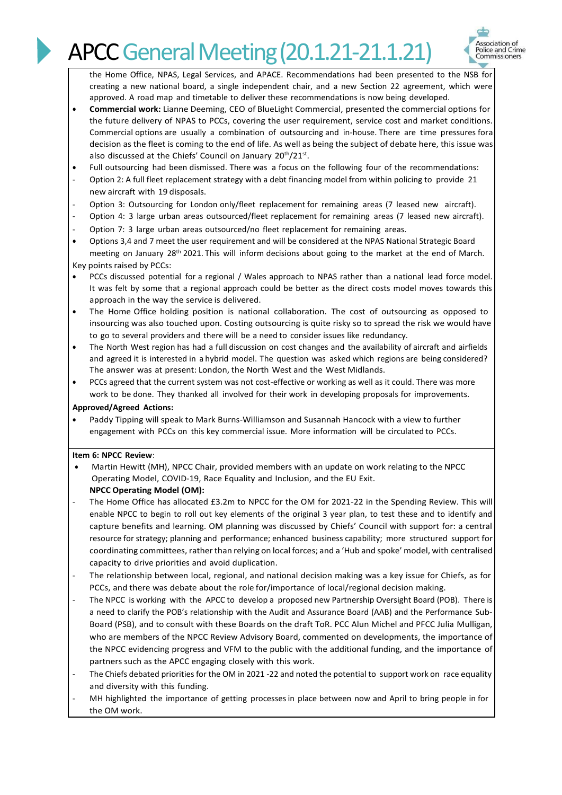# **APCC General Meeting (20.1.21-21.1.21)**



the Home Office, NPAS, Legal Services, and APACE. Recommendations had been presented to the NSB for creating a new national board, a single independent chair, and a new Section 22 agreement, which were approved. A road map and timetable to deliver these recommendations is now being developed.

- **Commercial work:** Lianne Deeming, CEO of BlueLight Commercial, presented the commercial options for the future delivery of NPAS to PCCs, covering the user requirement, service cost and market conditions. Commercial options are usually a combination of outsourcing and in-house. There are time pressures fora decision as the fleet is coming to the end of life. As well as being the subject of debate here, this issue was also discussed at the Chiefs' Council on January 20<sup>th</sup>/21<sup>st</sup>.
- Full outsourcing had been dismissed. There was a focus on the following four of the recommendations:
- Option 2: A full fleet replacement strategy with a debt financing model from within policing to provide 21 new aircraft with 19 disposals.
- Option 3: Outsourcing for London only/fleet replacement for remaining areas (7 leased new aircraft).
- Option 4: 3 large urban areas outsourced/fleet replacement for remaining areas (7 leased new aircraft).
- Option 7: 3 large urban areas outsourced/no fleet replacement for remaining areas.
- Options 3,4 and 7 meet the user requirement and will be considered at the NPAS National Strategic Board meeting on January 28th 2021. This will inform decisions about going to the market at the end of March. Key points raised by PCCs:
- PCCs discussed potential for a regional / Wales approach to NPAS rather than a national lead force model. It was felt by some that a regional approach could be better as the direct costs model moves towards this approach in the way the service is delivered.
- The Home Office holding position is national collaboration. The cost of outsourcing as opposed to insourcing was also touched upon. Costing outsourcing is quite risky so to spread the risk we would have to go to several providers and there will be a need to consider issues like redundancy.
- The North West region has had a full discussion on cost changes and the availability of aircraft and airfields and agreed it is interested in a hybrid model. The question was asked which regions are being considered? The answer was at present: London, the North West and the West Midlands.
- PCCs agreed that the current system was not cost-effective or working as well as it could. There was more work to be done. They thanked all involved for their work in developing proposals for improvements.

#### **Approved/Agreed Actions:**

• Paddy Tipping will speak to Mark Burns-Williamson and Susannah Hancock with a view to further engagement with PCCs on this key commercial issue. More information will be circulated to PCCs.

#### **Item 6: NPCC Review**:

- Martin Hewitt (MH), NPCC Chair, provided members with an update on work relating to the NPCC Operating Model, COVID-19, Race Equality and Inclusion, and the EU Exit. **NPCC Operating Model (OM):**
- The Home Office has allocated £3.2m to NPCC for the OM for 2021-22 in the Spending Review. This will enable NPCC to begin to roll out key elements of the original 3 year plan, to test these and to identify and capture benefits and learning. OM planning was discussed by Chiefs' Council with support for: a central resource for strategy; planning and performance; enhanced business capability; more structured support for coordinating committees, rather than relying on local forces; and a 'Hub and spoke' model, with centralised capacity to drive priorities and avoid duplication.
- The relationship between local, regional, and national decision making was a key issue for Chiefs, as for PCCs, and there was debate about the role for/importance of local/regional decision making.
- The NPCC is working with the APCC to develop a proposed new Partnership Oversight Board (POB). There is a need to clarify the POB's relationship with the Audit and Assurance Board (AAB) and the Performance Sub-Board (PSB), and to consult with these Boards on the draft ToR. PCC Alun Michel and PFCC Julia Mulligan, who are members of the NPCC Review Advisory Board, commented on developments, the importance of the NPCC evidencing progress and VFM to the public with the additional funding, and the importance of partners such as the APCC engaging closely with this work.
- The Chiefs debated priorities for the OM in 2021 -22 and noted the potential to support work on race equality and diversity with this funding.
- MH highlighted the importance of getting processes in place between now and April to bring people in for the OM work.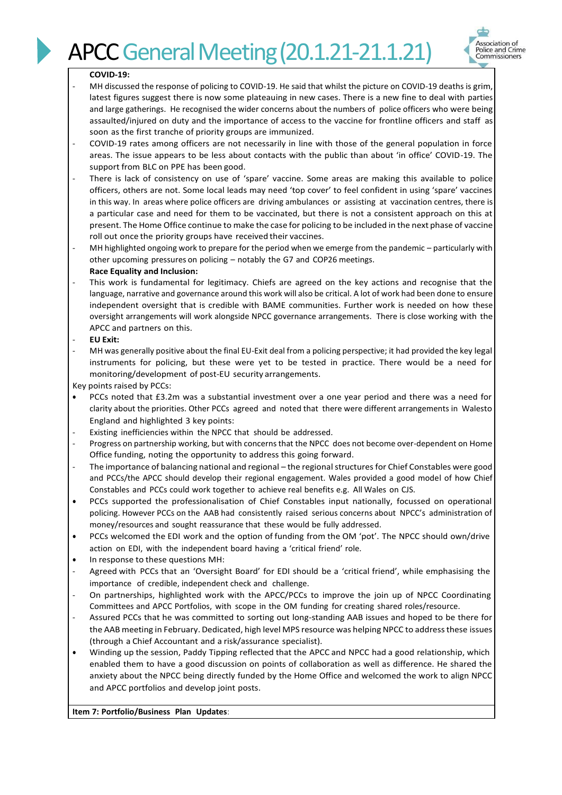

#### **COVID-19:**

- MH discussed the response of policing to COVID-19. He said that whilst the picture on COVID-19 deaths is grim, latest figures suggest there is now some plateauing in new cases. There is a new fine to deal with parties and large gatherings. He recognised the wider concerns about the numbers of police officers who were being assaulted/injured on duty and the importance of access to the vaccine for frontline officers and staff as soon as the first tranche of priority groups are immunized.
- COVID-19 rates among officers are not necessarily in line with those of the general population in force areas. The issue appears to be less about contacts with the public than about 'in office' COVID-19. The support from BLC on PPE has been good.
- There is lack of consistency on use of 'spare' vaccine. Some areas are making this available to police officers, others are not. Some local leads may need 'top cover' to feel confident in using 'spare' vaccines in this way. In areas where police officers are driving ambulances or assisting at vaccination centres, there is a particular case and need for them to be vaccinated, but there is not a consistent approach on this at present. The Home Office continue to make the case for policing to be included in the next phase of vaccine roll out once the priority groups have received their vaccines.
- MH highlighted ongoing work to prepare for the period when we emerge from the pandemic particularly with other upcoming pressures on policing – notably the G7 and COP26 meetings. **Race Equality and Inclusion:**
- This work is fundamental for legitimacy. Chiefs are agreed on the key actions and recognise that the language, narrative and governance around this work will also be critical. A lot of work had been done to ensure independent oversight that is credible with BAME communities. Further work is needed on how these oversight arrangements will work alongside NPCC governance arrangements. There is close working with the APCC and partners on this.
- **EU Exit:**
- MH was generally positive about the final EU-Exit deal from a policing perspective; it had provided the key legal instruments for policing, but these were yet to be tested in practice. There would be a need for monitoring/development of post-EU security arrangements.

Key points raised by PCCs:

- PCCs noted that £3.2m was a substantial investment over a one year period and there was a need for clarity about the priorities. Other PCCs agreed and noted that there were different arrangements in Walesto England and highlighted 3 key points:
- Existing inefficiencies within the NPCC that should be addressed.
- Progress on partnership working, but with concerns that the NPCC does not become over-dependent on Home Office funding, noting the opportunity to address this going forward.
- The importance of balancing national and regional the regional structures for Chief Constables were good and PCCs/the APCC should develop their regional engagement. Wales provided a good model of how Chief Constables and PCCs could work together to achieve real benefits e.g. All Wales on CJS.
- PCCs supported the professionalisation of Chief Constables input nationally, focussed on operational policing. However PCCs on the AAB had consistently raised serious concerns about NPCC's administration of money/resources and sought reassurance that these would be fully addressed.
- PCCs welcomed the EDI work and the option of funding from the OM 'pot'. The NPCC should own/drive action on EDI, with the independent board having a 'critical friend' role.
- In response to these questions MH:
- Agreed with PCCs that an 'Oversight Board' for EDI should be a 'critical friend', while emphasising the importance of credible, independent check and challenge.
- On partnerships, highlighted work with the APCC/PCCs to improve the join up of NPCC Coordinating Committees and APCC Portfolios, with scope in the OM funding for creating shared roles/resource.
- Assured PCCs that he was committed to sorting out long-standing AAB issues and hoped to be there for the AAB meeting in February. Dedicated, high level MPS resource was helping NPCC to address these issues (through a Chief Accountant and a risk/assurance specialist).
- Winding up the session, Paddy Tipping reflected that the APCC and NPCC had a good relationship, which enabled them to have a good discussion on points of collaboration as well as difference. He shared the anxiety about the NPCC being directly funded by the Home Office and welcomed the work to align NPCC and APCC portfolios and develop joint posts.

**Item 7: Portfolio/Business Plan Updates**: